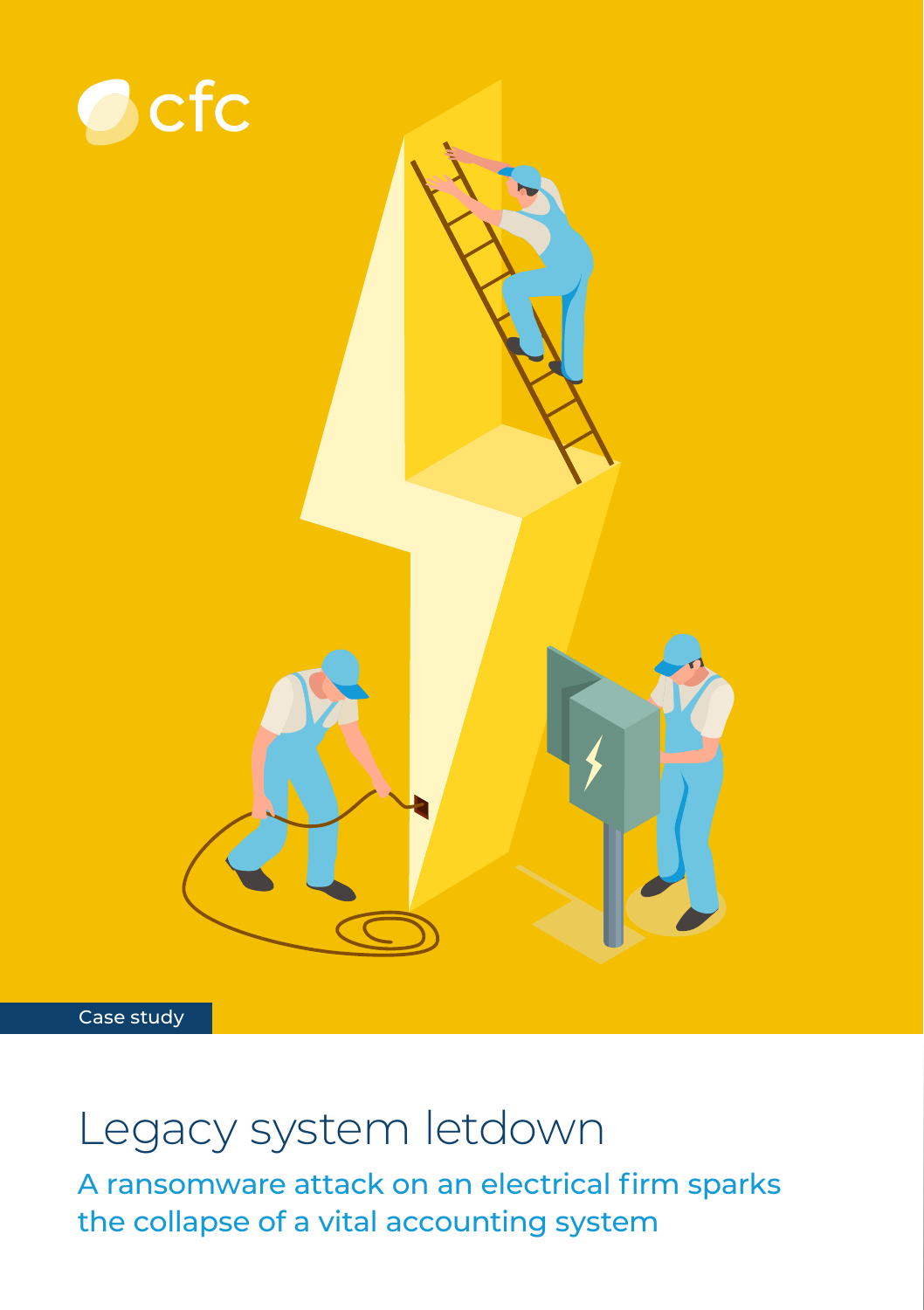

Case study

## Legacy system letdown

A ransomware attack on an electrical firm sparks the collapse of a vital accounting system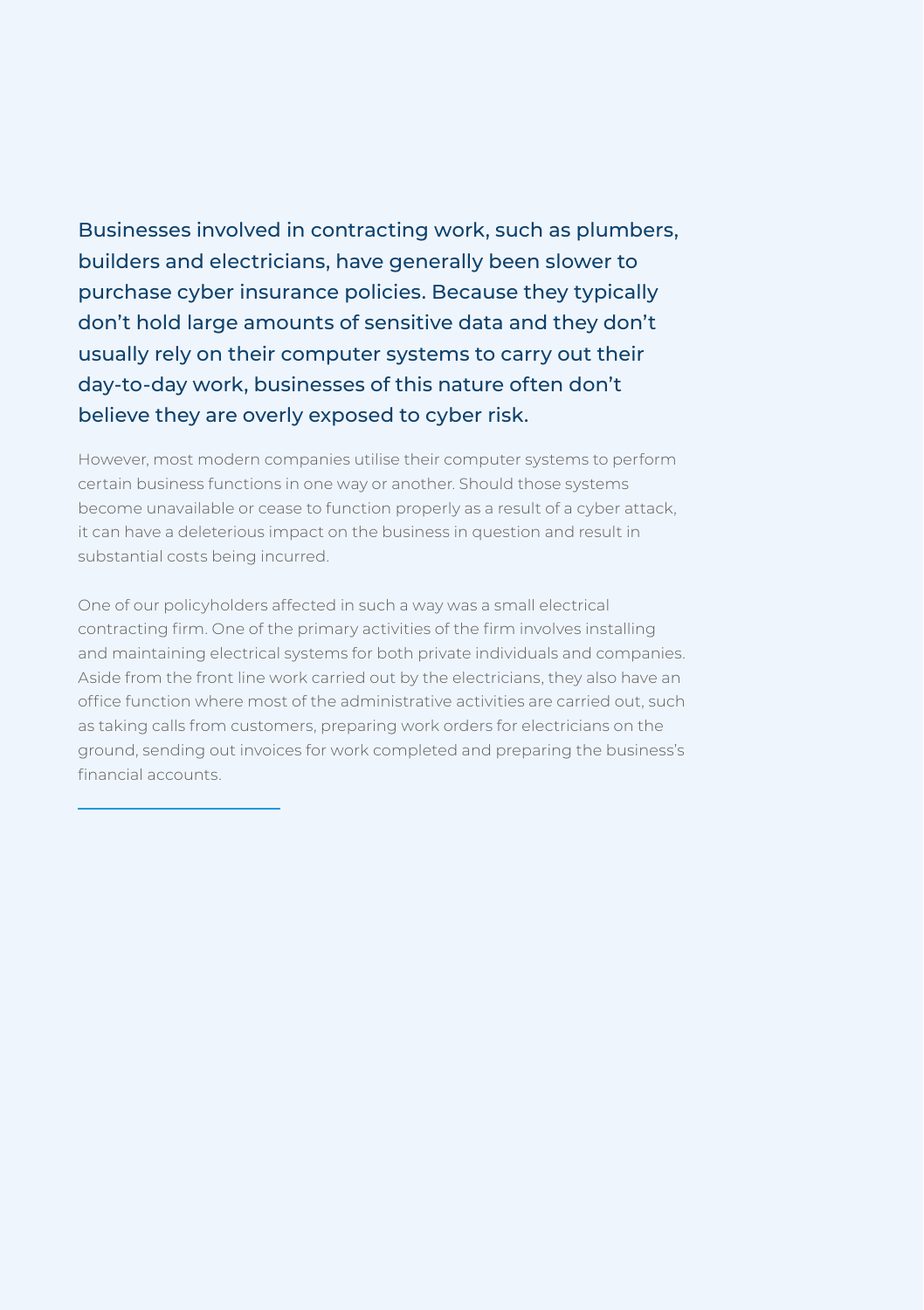Businesses involved in contracting work, such as plumbers, builders and electricians, have generally been slower to purchase cyber insurance policies. Because they typically don't hold large amounts of sensitive data and they don't usually rely on their computer systems to carry out their day-to-day work, businesses of this nature often don't believe they are overly exposed to cyber risk.

However, most modern companies utilise their computer systems to perform certain business functions in one way or another. Should those systems become unavailable or cease to function properly as a result of a cyber attack, it can have a deleterious impact on the business in question and result in substantial costs being incurred.

One of our policyholders affected in such a way was a small electrical contracting firm. One of the primary activities of the firm involves installing and maintaining electrical systems for both private individuals and companies. Aside from the front line work carried out by the electricians, they also have an office function where most of the administrative activities are carried out, such as taking calls from customers, preparing work orders for electricians on the ground, sending out invoices for work completed and preparing the business's financial accounts.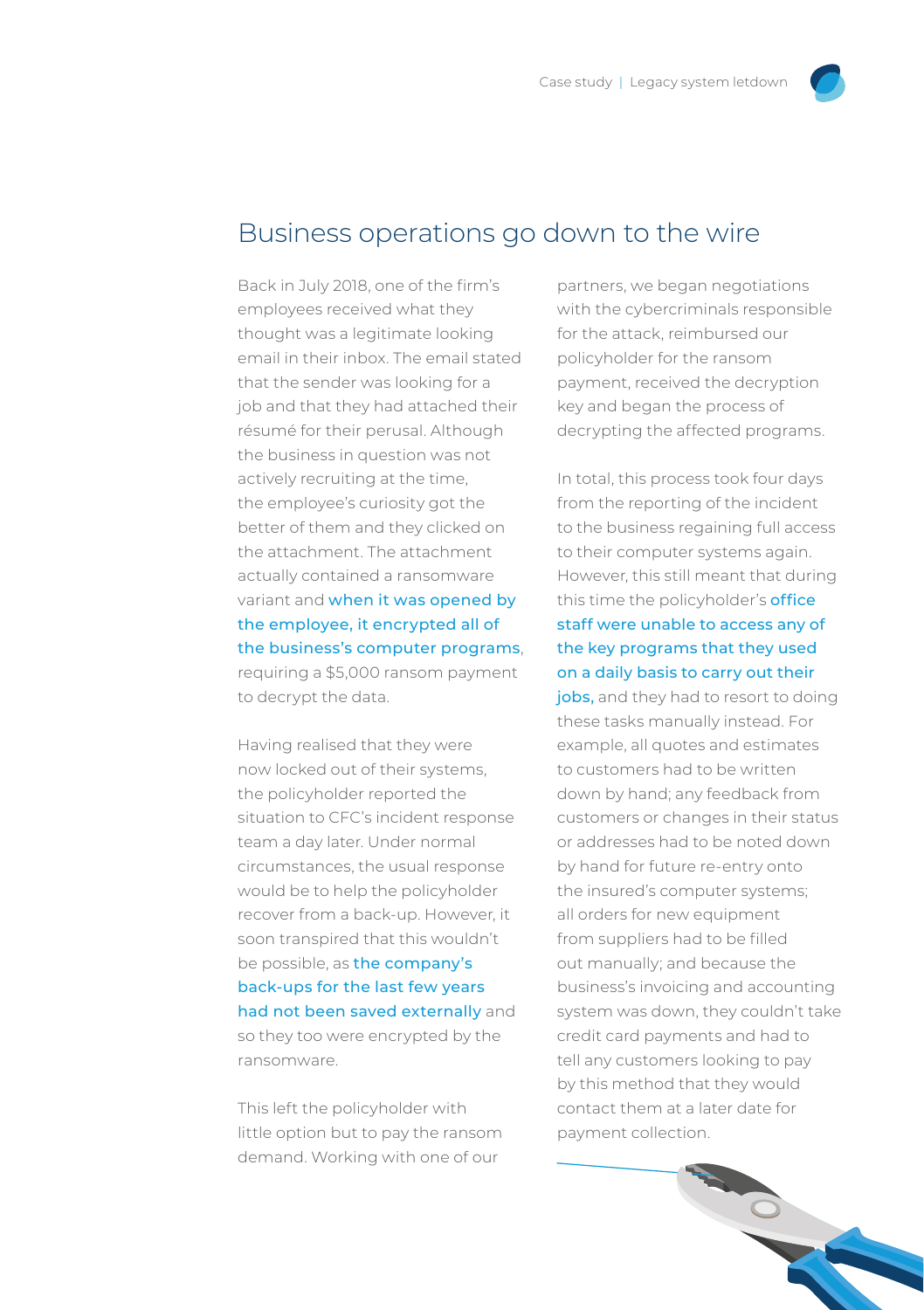## Business operations go down to the wire

Back in July 2018, one of the firm's employees received what they thought was a legitimate looking email in their inbox. The email stated that the sender was looking for a job and that they had attached their résumé for their perusal. Although the business in question was not actively recruiting at the time, the employee's curiosity got the better of them and they clicked on the attachment. The attachment actually contained a ransomware variant and when it was opened by the employee, it encrypted all of the business's computer programs, requiring a \$5,000 ransom payment to decrypt the data.

Having realised that they were now locked out of their systems, the policyholder reported the situation to CFC's incident response team a day later. Under normal circumstances, the usual response would be to help the policyholder recover from a back-up. However, it soon transpired that this wouldn't be possible, as the company's back-ups for the last few years had not been saved externally and so they too were encrypted by the ransomware.

This left the policyholder with little option but to pay the ransom demand. Working with one of our

partners, we began negotiations with the cybercriminals responsible for the attack, reimbursed our policyholder for the ransom payment, received the decryption key and began the process of decrypting the affected programs.

In total, this process took four days from the reporting of the incident to the business regaining full access to their computer systems again. However, this still meant that during this time the policyholder's **office** staff were unable to access any of the key programs that they used on a daily basis to carry out their

jobs, and they had to resort to doing these tasks manually instead. For example, all quotes and estimates to customers had to be written down by hand; any feedback from customers or changes in their status or addresses had to be noted down by hand for future re-entry onto the insured's computer systems; all orders for new equipment from suppliers had to be filled out manually; and because the business's invoicing and accounting system was down, they couldn't take credit card payments and had to tell any customers looking to pay by this method that they would contact them at a later date for payment collection.

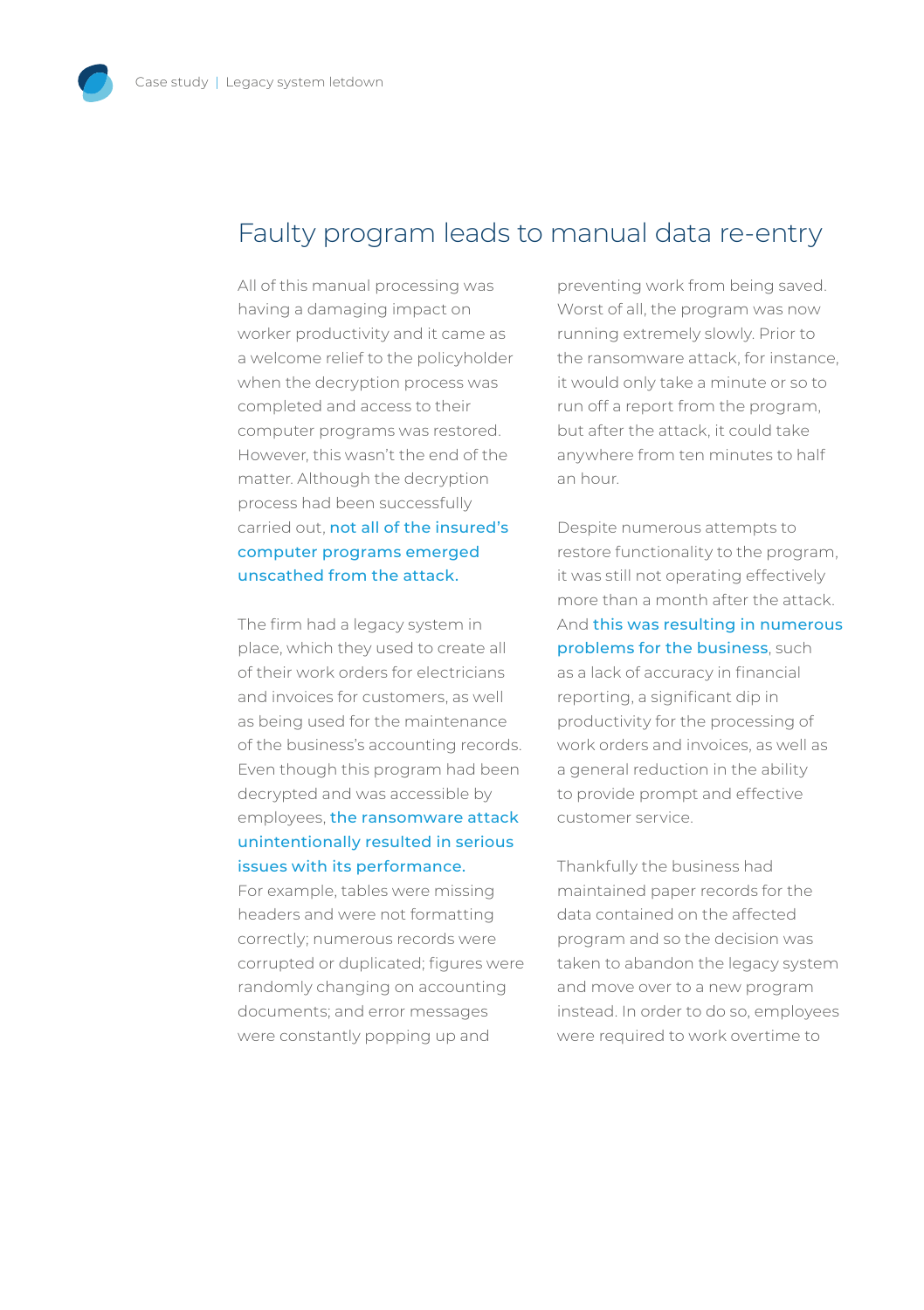## Faulty program leads to manual data re-entry

All of this manual processing was having a damaging impact on worker productivity and it came as a welcome relief to the policyholder when the decryption process was completed and access to their computer programs was restored. However, this wasn't the end of the matter. Although the decryption process had been successfully carried out, not all of the insured's computer programs emerged unscathed from the attack.

The firm had a legacy system in place, which they used to create all of their work orders for electricians and invoices for customers, as well as being used for the maintenance of the business's accounting records. Even though this program had been decrypted and was accessible by employees, the ransomware attack unintentionally resulted in serious issues with its performance.

For example, tables were missing headers and were not formatting correctly; numerous records were corrupted or duplicated; figures were randomly changing on accounting documents; and error messages were constantly popping up and

preventing work from being saved. Worst of all, the program was now running extremely slowly. Prior to the ransomware attack, for instance, it would only take a minute or so to run off a report from the program, but after the attack, it could take anywhere from ten minutes to half an hour.

Despite numerous attempts to restore functionality to the program, it was still not operating effectively more than a month after the attack. And this was resulting in numerous problems for the business, such as a lack of accuracy in financial reporting, a significant dip in productivity for the processing of work orders and invoices, as well as a general reduction in the ability to provide prompt and effective customer service.

Thankfully the business had maintained paper records for the data contained on the affected program and so the decision was taken to abandon the legacy system and move over to a new program instead. In order to do so, employees were required to work overtime to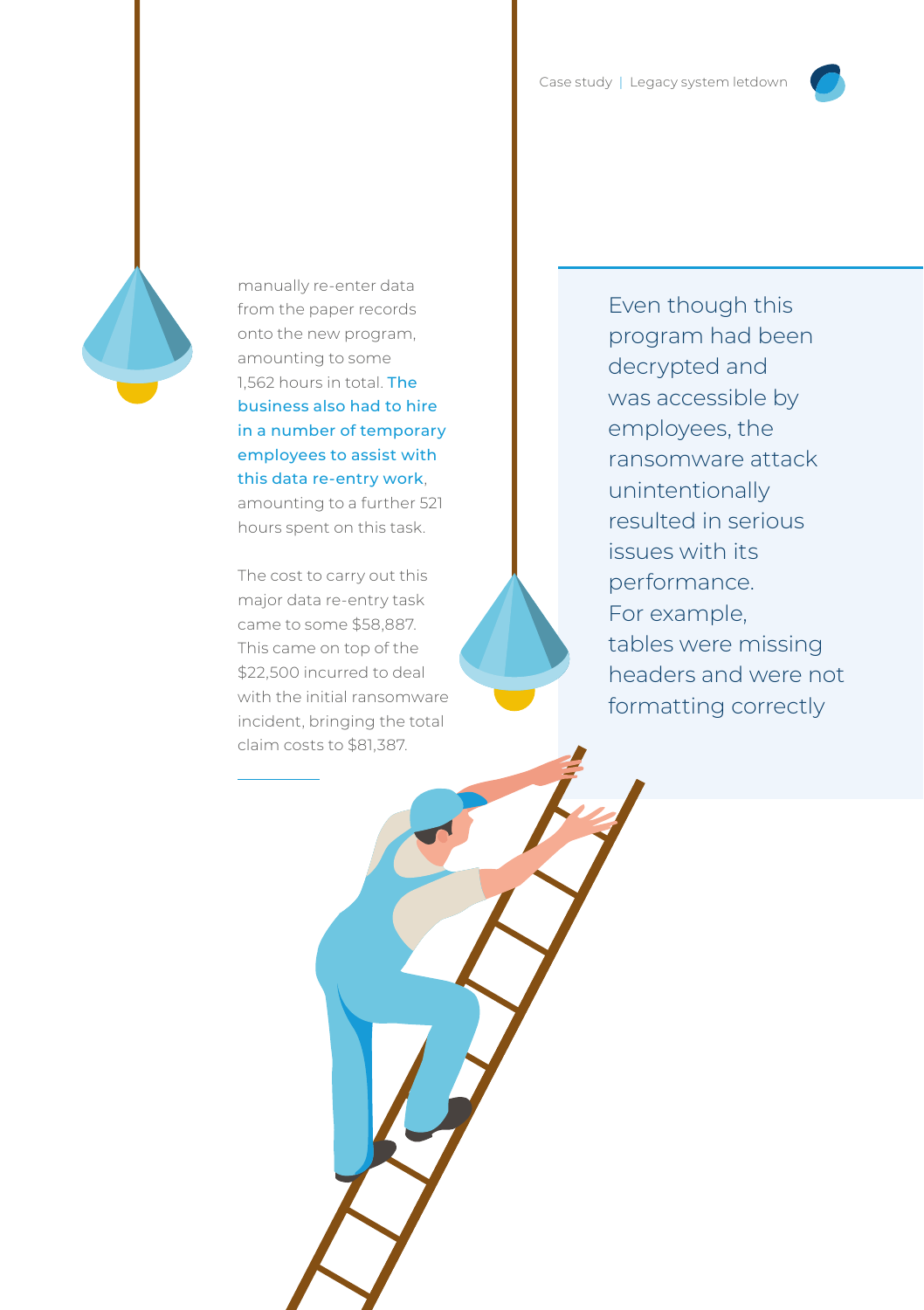

manually re-enter data from the paper records onto the new program, amounting to some 1,562 hours in total. The business also had to hire in a number of temporary employees to assist with this data re-entry work, amounting to a further 521 hours spent on this task.

The cost to carry out this major data re-entry task came to some \$58,887. This came on top of the \$22,500 incurred to deal with the initial ransomware incident, bringing the total claim costs to \$81,387.

Even though this program had been decrypted and was accessible by employees, the ransomware attack unintentionally resulted in serious issues with its performance. For example, tables were missing headers and were not formatting correctly